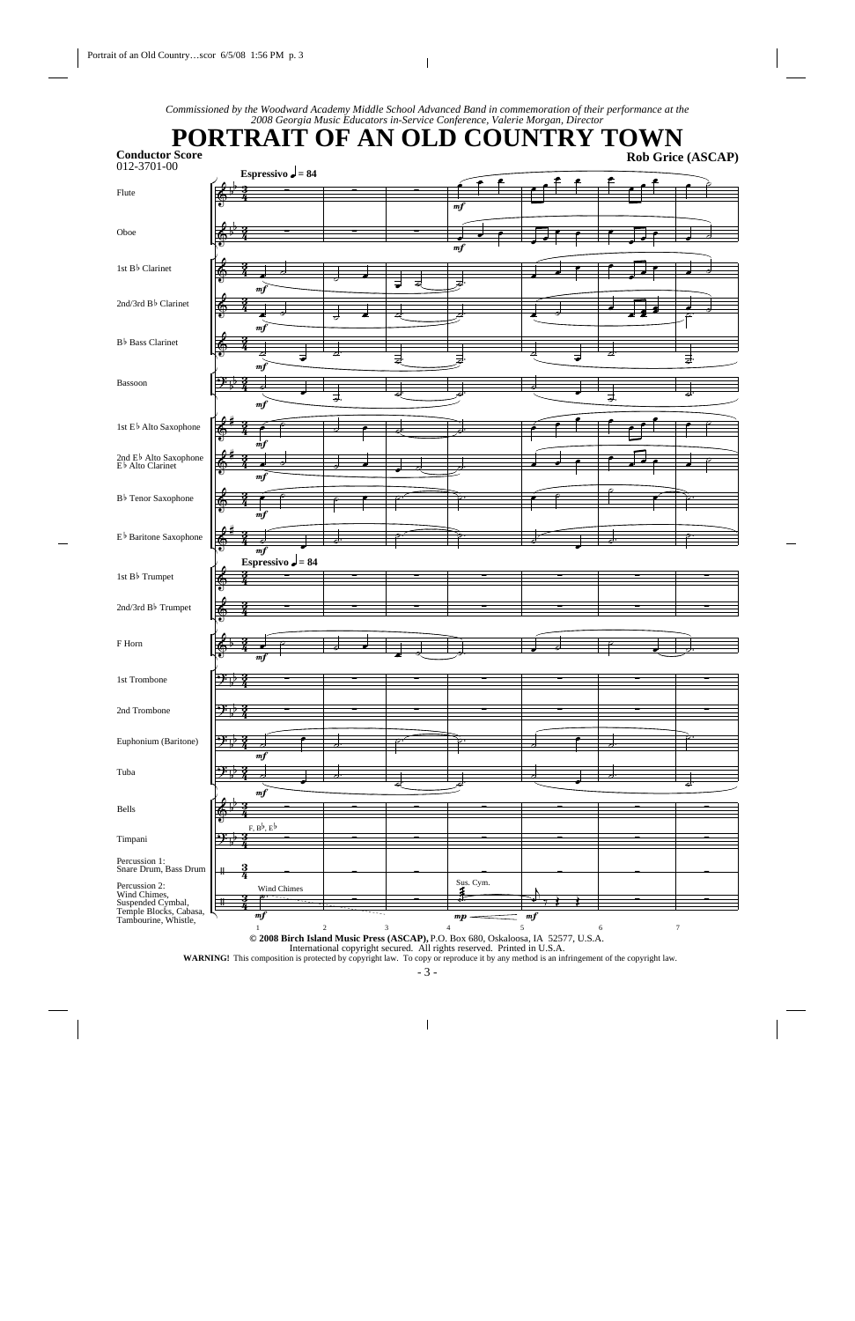*Commissioned by the Woodward Academy Middle School Advanced Band in commemoration of their performance at the 2008 Georgia Music Educators in-Service Conference, Valerie Morgan, Director*

## **PORTRAIT OF AN OLD COUNTRY TOWN**

| <b>Conductor Score</b><br>012-3701-00                                             |                                  |                       |        | Rob Grice (ASCAP)               |                 |            |    |                  |
|-----------------------------------------------------------------------------------|----------------------------------|-----------------------|--------|---------------------------------|-----------------|------------|----|------------------|
|                                                                                   | Espressivo $\rightarrow$ = 84    |                       |        |                                 |                 |            |    |                  |
| Flute                                                                             |                                  |                       |        |                                 |                 |            |    |                  |
|                                                                                   |                                  |                       |        |                                 | m f             |            |    |                  |
|                                                                                   |                                  |                       |        |                                 |                 |            |    |                  |
| Oboe                                                                              |                                  |                       |        |                                 |                 |            |    |                  |
|                                                                                   |                                  |                       |        |                                 | m f             |            |    |                  |
| 1st B <sub>b</sub> Clarinet                                                       |                                  |                       |        |                                 |                 |            |    |                  |
|                                                                                   |                                  |                       |        | $\overrightarrow{\bullet}$<br>ਡ | 才               |            |    |                  |
|                                                                                   | mf                               |                       |        |                                 |                 |            |    |                  |
| 2nd/3rd $B\flat$ Clarinet                                                         | ⊕                                |                       |        | ⊿                               |                 |            |    | ē                |
|                                                                                   | mf                               |                       | ಶ      |                                 |                 |            |    |                  |
| B <sub>b</sub> Bass Clarinet                                                      |                                  |                       |        |                                 |                 |            |    |                  |
|                                                                                   |                                  |                       | ↵      |                                 |                 |            | ₽  | ţ.               |
|                                                                                   | mf                               |                       |        |                                 |                 |            |    |                  |
| Bassoon                                                                           |                                  |                       |        |                                 |                 |            |    |                  |
|                                                                                   | mf                               |                       | न्न.   |                                 |                 |            | 긍. | €                |
|                                                                                   |                                  |                       |        |                                 |                 |            |    |                  |
| 1st Eb Alto Saxophone                                                             |                                  |                       |        |                                 |                 |            |    |                  |
|                                                                                   | m f                              |                       |        |                                 |                 |            |    |                  |
| 2nd E <sup>b</sup> Alto Saxophone<br>E <sup>b</sup> Alto Clarinet                 |                                  |                       |        |                                 |                 |            |    |                  |
|                                                                                   | mf                               |                       |        |                                 |                 |            |    |                  |
| $\mathbf{B}^{\dagger}$ Tenor Saxophone                                            |                                  |                       |        |                                 |                 |            |    |                  |
|                                                                                   | Ģ                                |                       |        |                                 |                 |            |    |                  |
|                                                                                   | mf                               |                       |        |                                 |                 |            |    |                  |
| $\to\hspace{-1.5mm}$ Baritone Saxophone                                           |                                  |                       |        |                                 |                 |            |    |                  |
|                                                                                   | m f                              |                       |        |                                 |                 |            |    |                  |
|                                                                                   | Espressivo $\rightarrow$ = 84    |                       |        |                                 |                 |            |    |                  |
| 1st $B^{\flat}$ Trumpet                                                           | ₫                                |                       |        |                                 |                 |            |    |                  |
|                                                                                   |                                  |                       |        |                                 |                 |            |    |                  |
| 2nd/3rd $B^{\dagger}$ Trumpet                                                     |                                  |                       |        |                                 |                 |            |    |                  |
|                                                                                   |                                  |                       |        |                                 |                 |            |    |                  |
| ${\rm F}$ Horn                                                                    |                                  |                       |        |                                 |                 |            |    |                  |
|                                                                                   | m f                              |                       |        |                                 |                 |            |    |                  |
|                                                                                   |                                  |                       |        |                                 |                 |            |    |                  |
| 1st Trombone                                                                      | $9\frac{1}{2}$                   |                       |        |                                 |                 |            |    |                  |
|                                                                                   |                                  |                       |        |                                 |                 |            |    |                  |
| 2nd Trombone<br>Euphonium (Baritone)                                              | $\mathbf{\partial}$              |                       |        |                                 |                 |            |    |                  |
|                                                                                   |                                  |                       |        |                                 |                 |            |    |                  |
|                                                                                   | G                                |                       |        |                                 |                 |            |    |                  |
|                                                                                   | mf                               |                       |        |                                 |                 |            |    |                  |
| Tuba                                                                              | $\mathbf{p}$ $\ddot{\mathbf{p}}$ |                       |        |                                 |                 |            |    |                  |
|                                                                                   | m f                              |                       |        |                                 |                 |            |    | €                |
| Bells                                                                             |                                  |                       |        |                                 |                 |            |    |                  |
|                                                                                   | $F$ , $B$ $\flat$ , $E$ $\flat$  |                       |        |                                 |                 |            |    |                  |
| Timpani                                                                           | $9 + 3$                          |                       |        |                                 |                 |            |    |                  |
|                                                                                   |                                  |                       |        |                                 |                 |            |    |                  |
| Percussion 1:<br>Snare Drum, Bass Drum                                            |                                  |                       |        |                                 |                 |            |    |                  |
| Percussion 2:                                                                     | 3<br>$\pm$                       |                       |        |                                 |                 |            |    |                  |
|                                                                                   | ø.                               | Wind Chimes<br>$\sim$ |        |                                 | Sus. Cym.       | ₩          |    |                  |
| Fricassion<br>Suspended Cymbal,<br>Temple Blocks, Cabasa,<br>Tambourine, Whistle, | ┱<br>$\overline{mf}$             |                       | $\sim$ |                                 | $\mathbf{m}p$ — | m f        |    |                  |
|                                                                                   | $\mathbf{1}$                     | $\sqrt{2}$            | 3      |                                 | $\Delta$        | $\sqrt{5}$ | 6  | $\boldsymbol{7}$ |
|                                                                                   | $\approx$ 3000 $\mu$             |                       |        |                                 |                 |            |    |                  |

© 2008 Birch Island Music Press (ASCAP), P.O. Box 680, Oskaloosa, IA 52577, U.S.A. International copyright secured. All rights reserved. Printed in U.S.A. **© 2008 Birch Island Music Press (ASCAP),**

**WARNING!** This composition is protected by copyright law. To copy or reproduce it by any method is an infringement of the copyright law.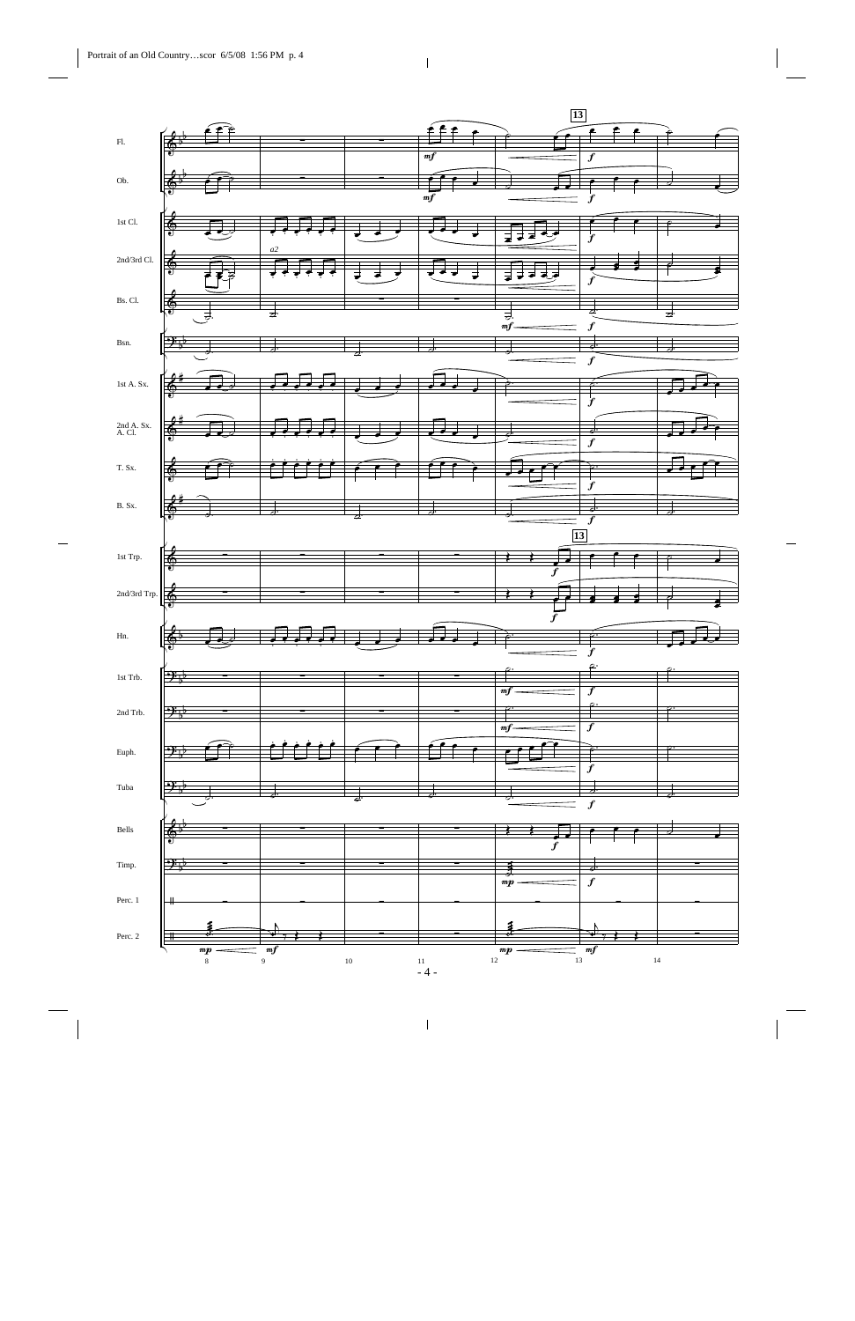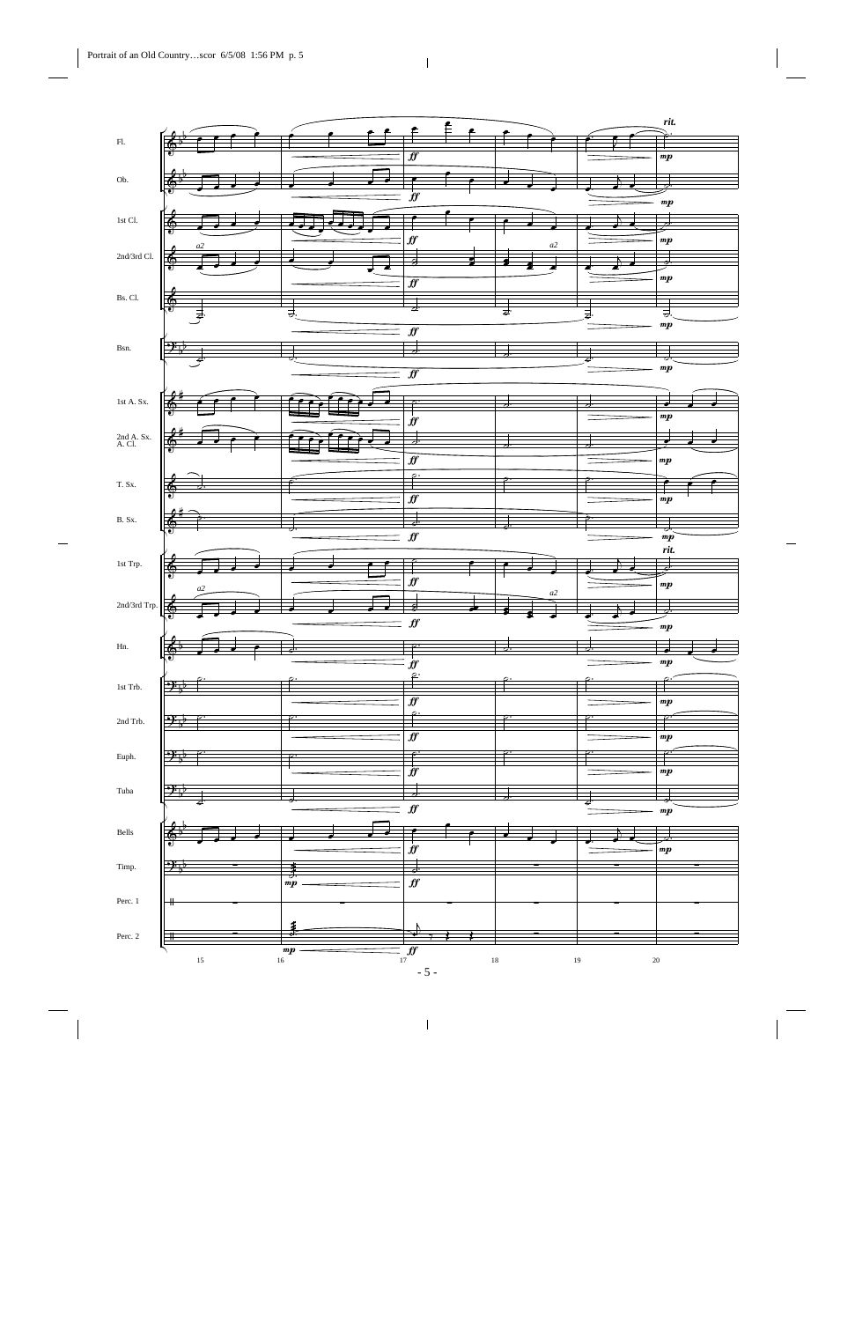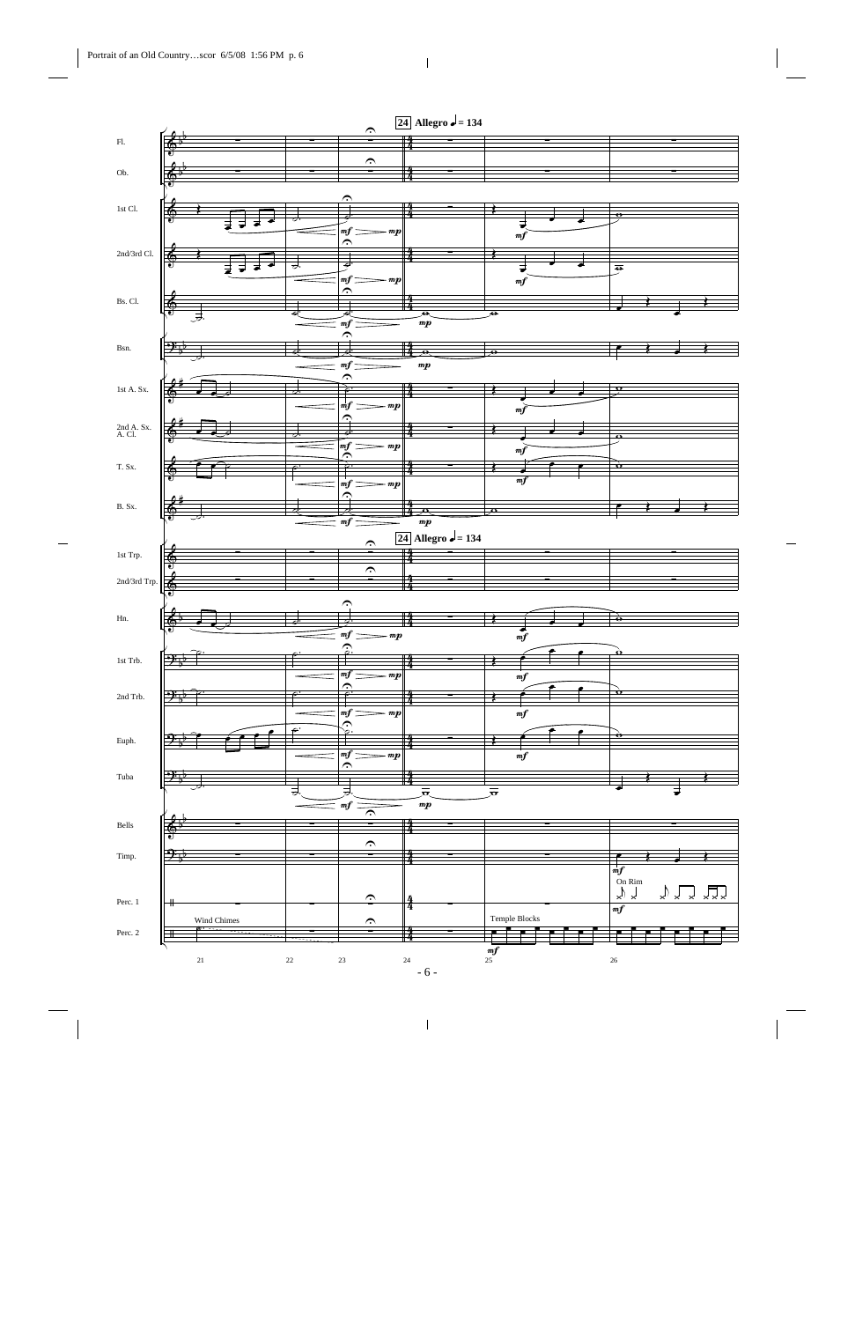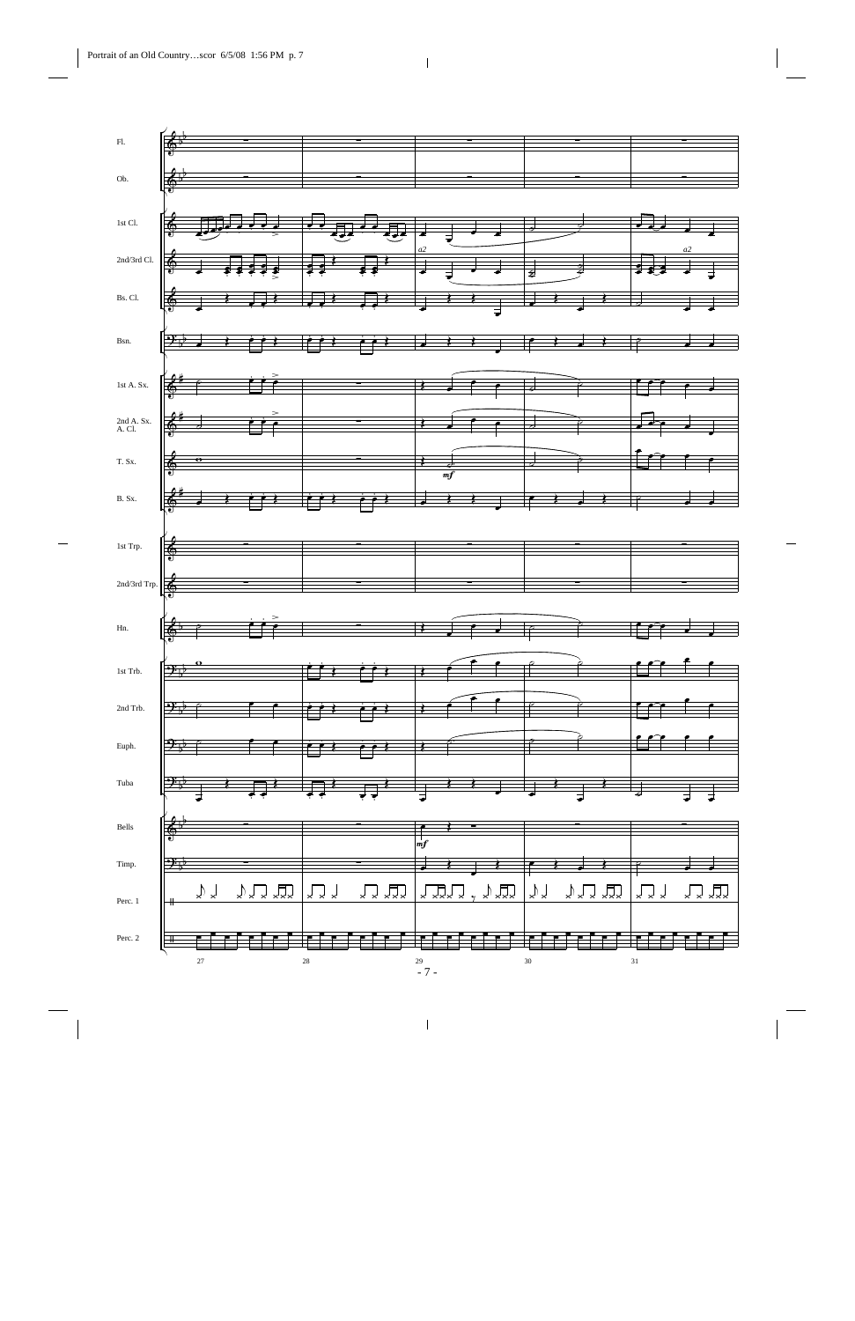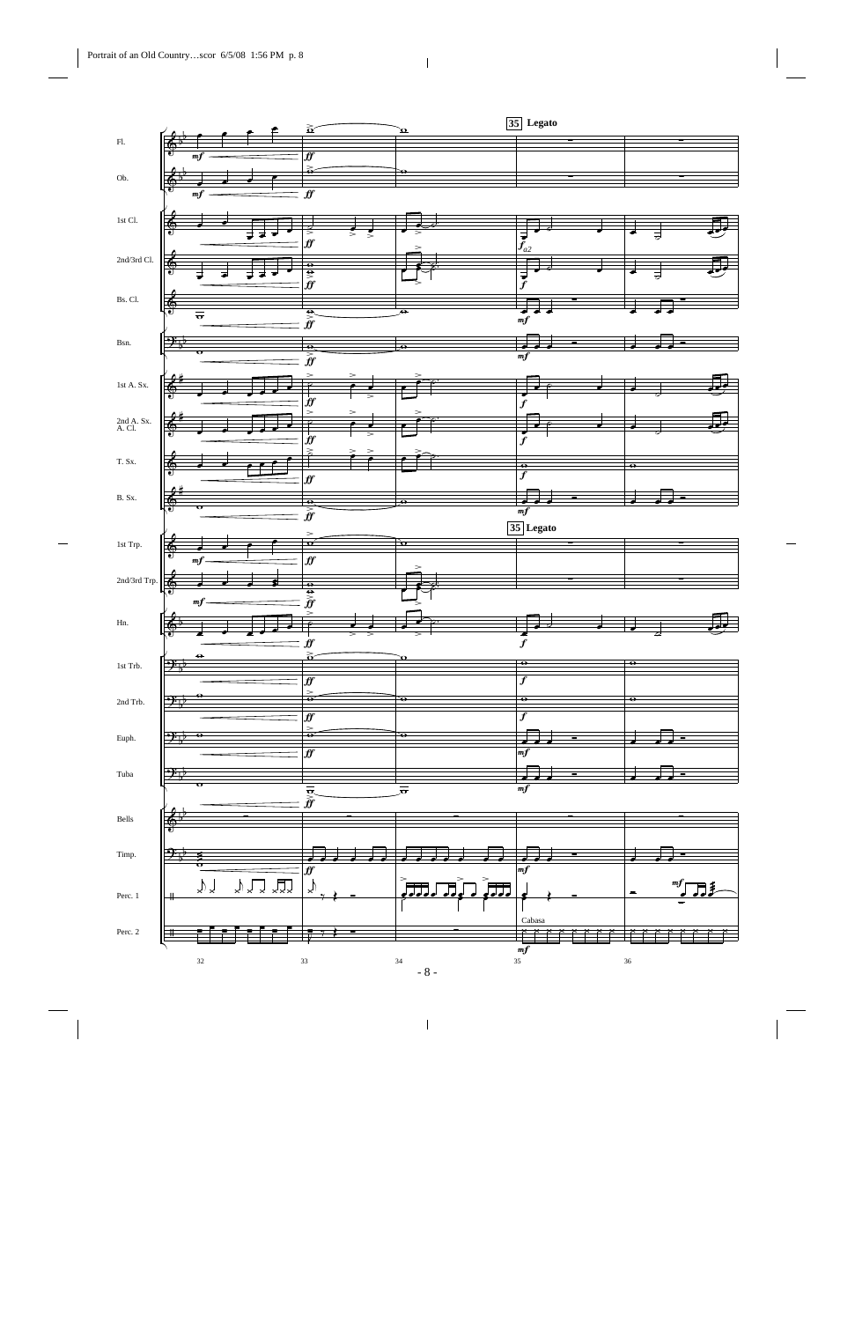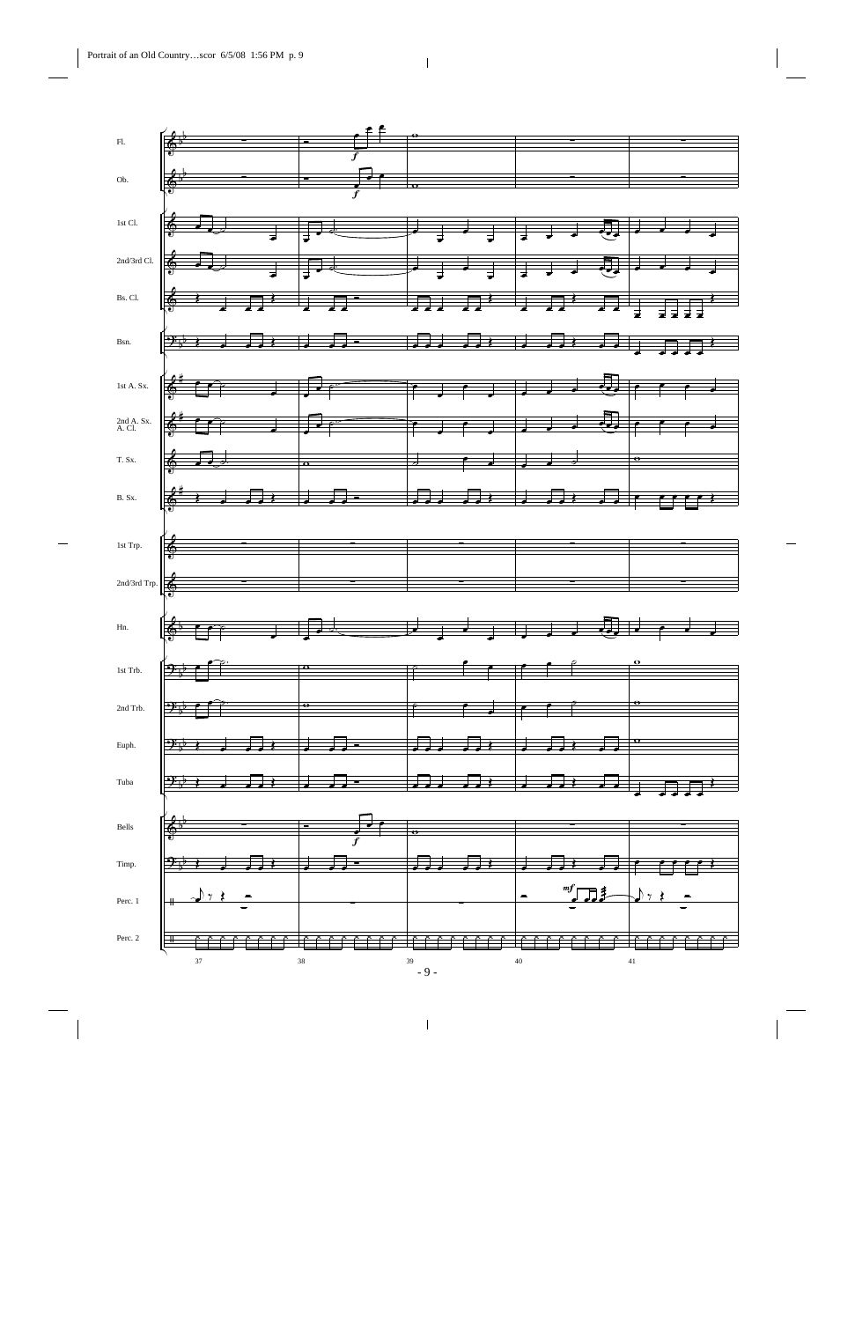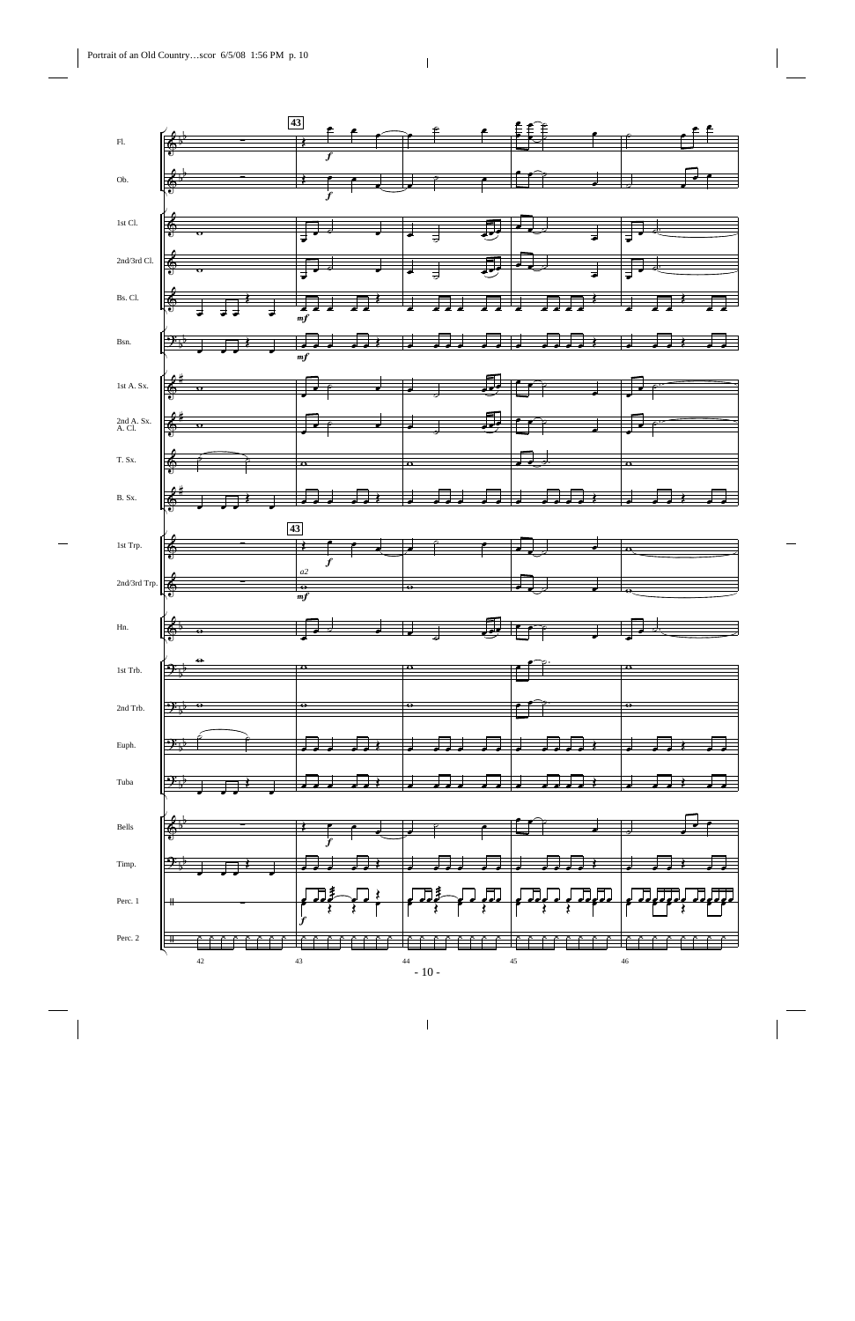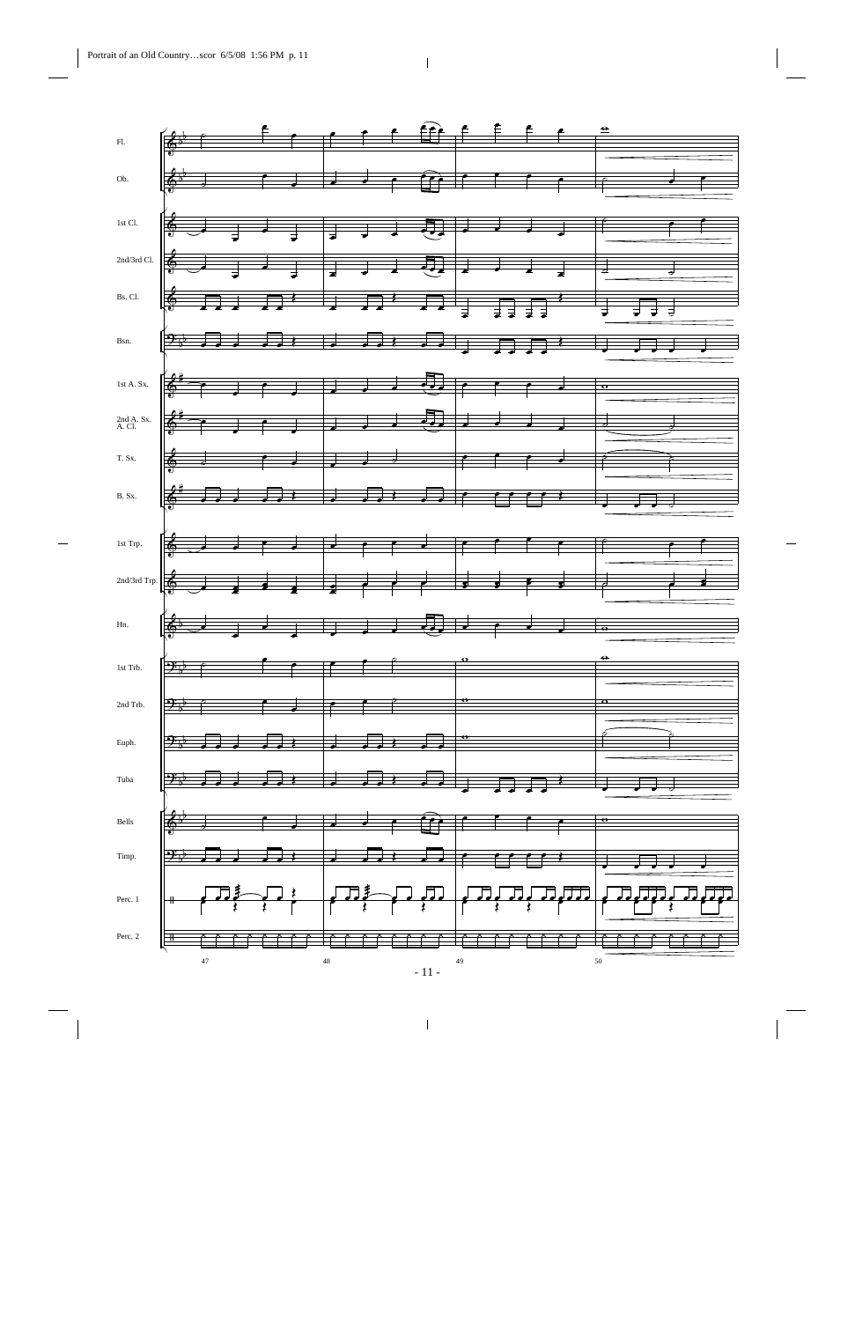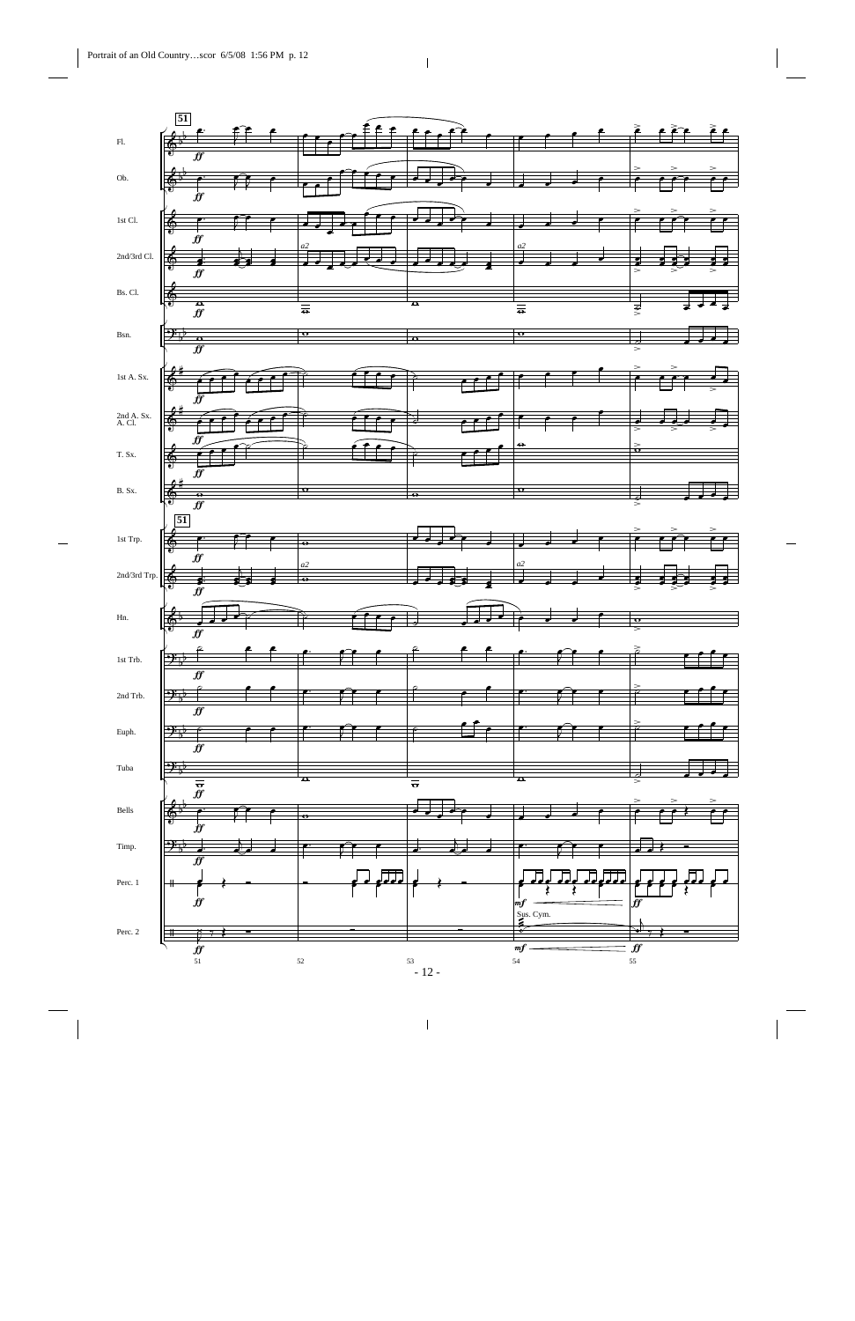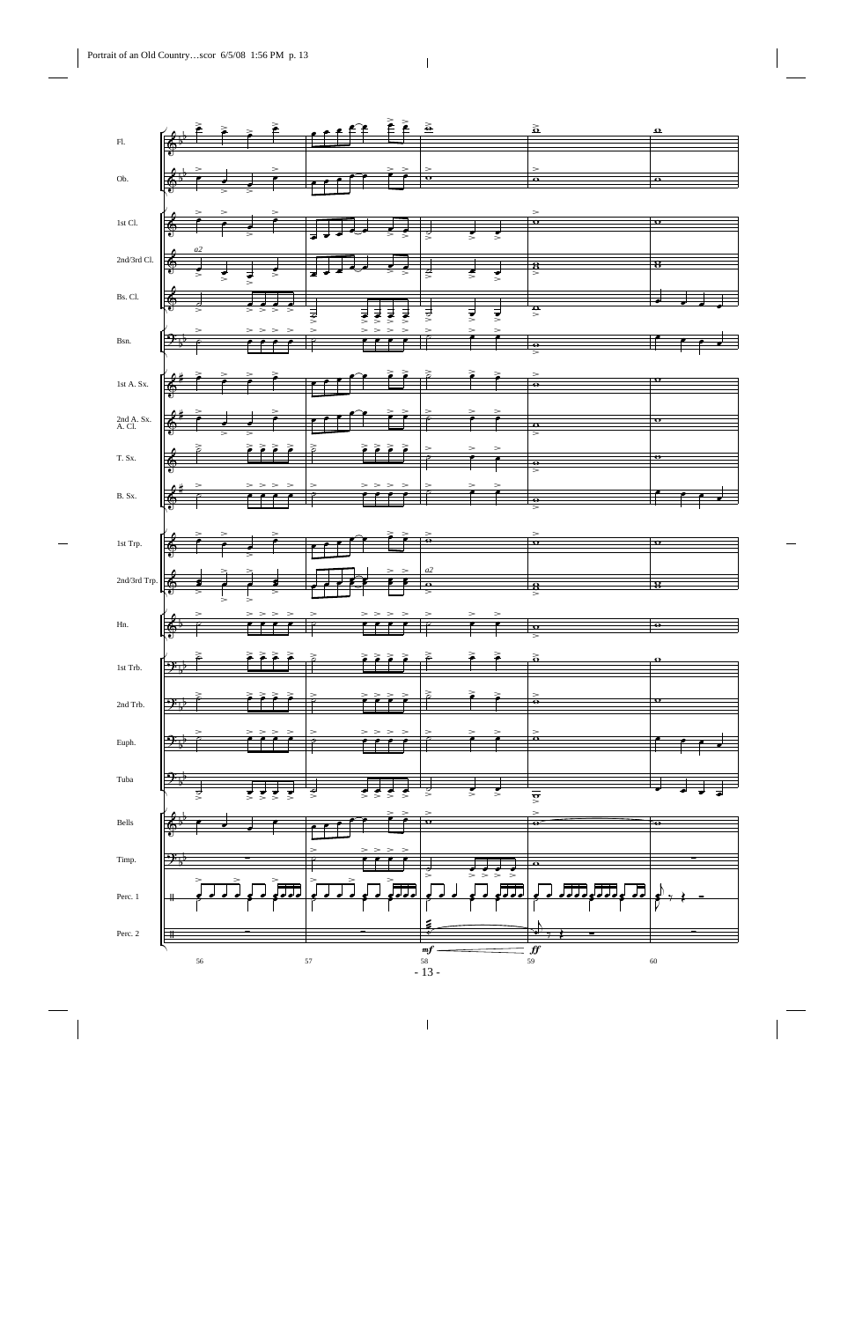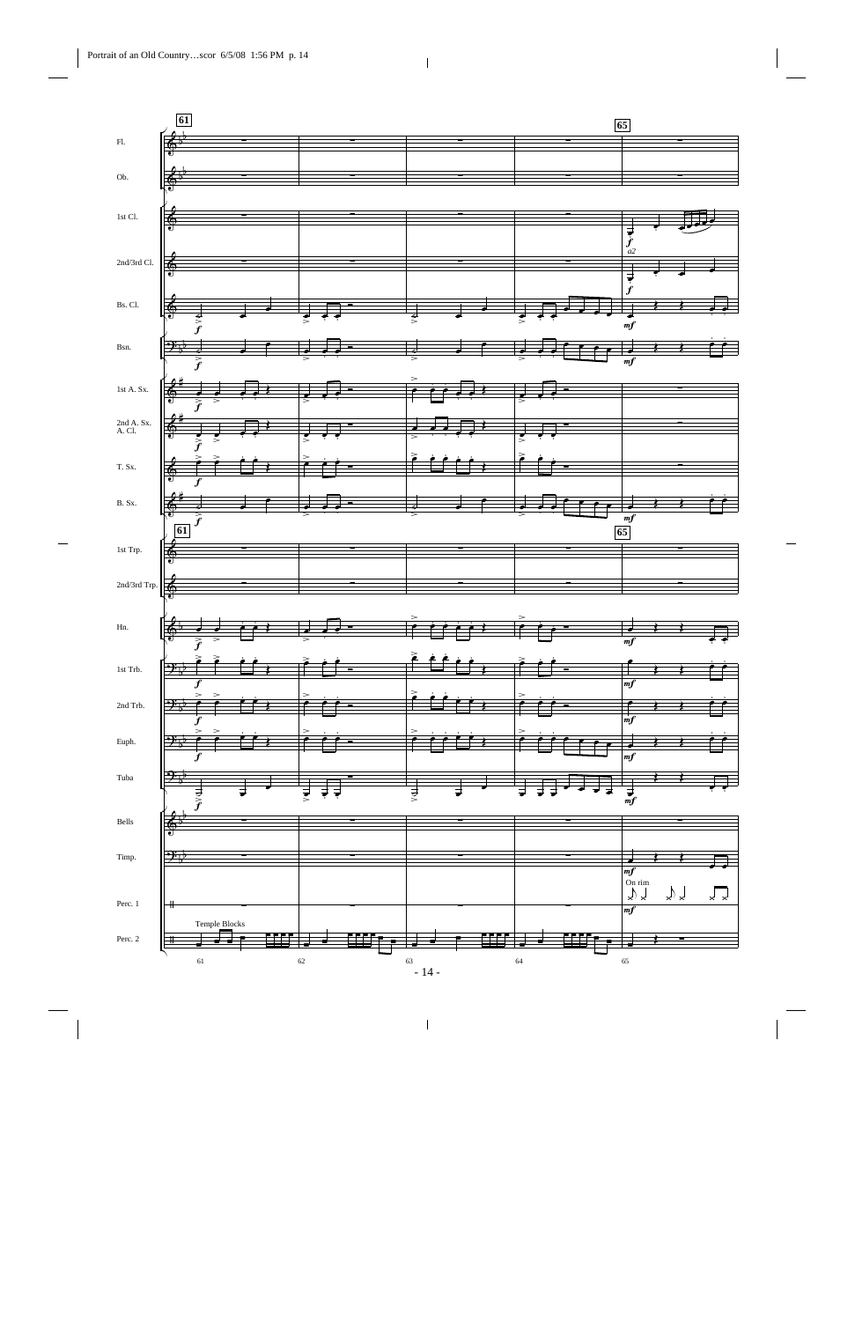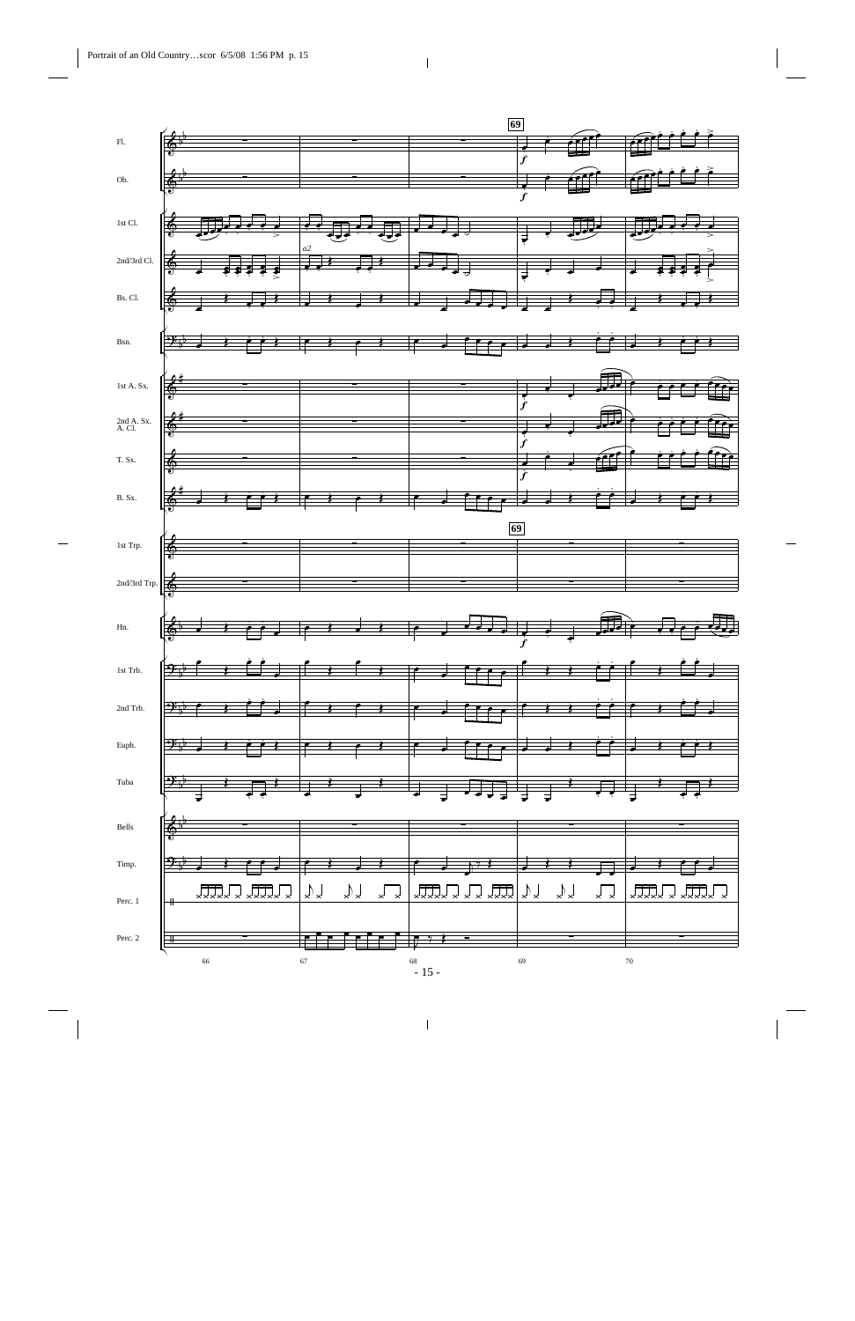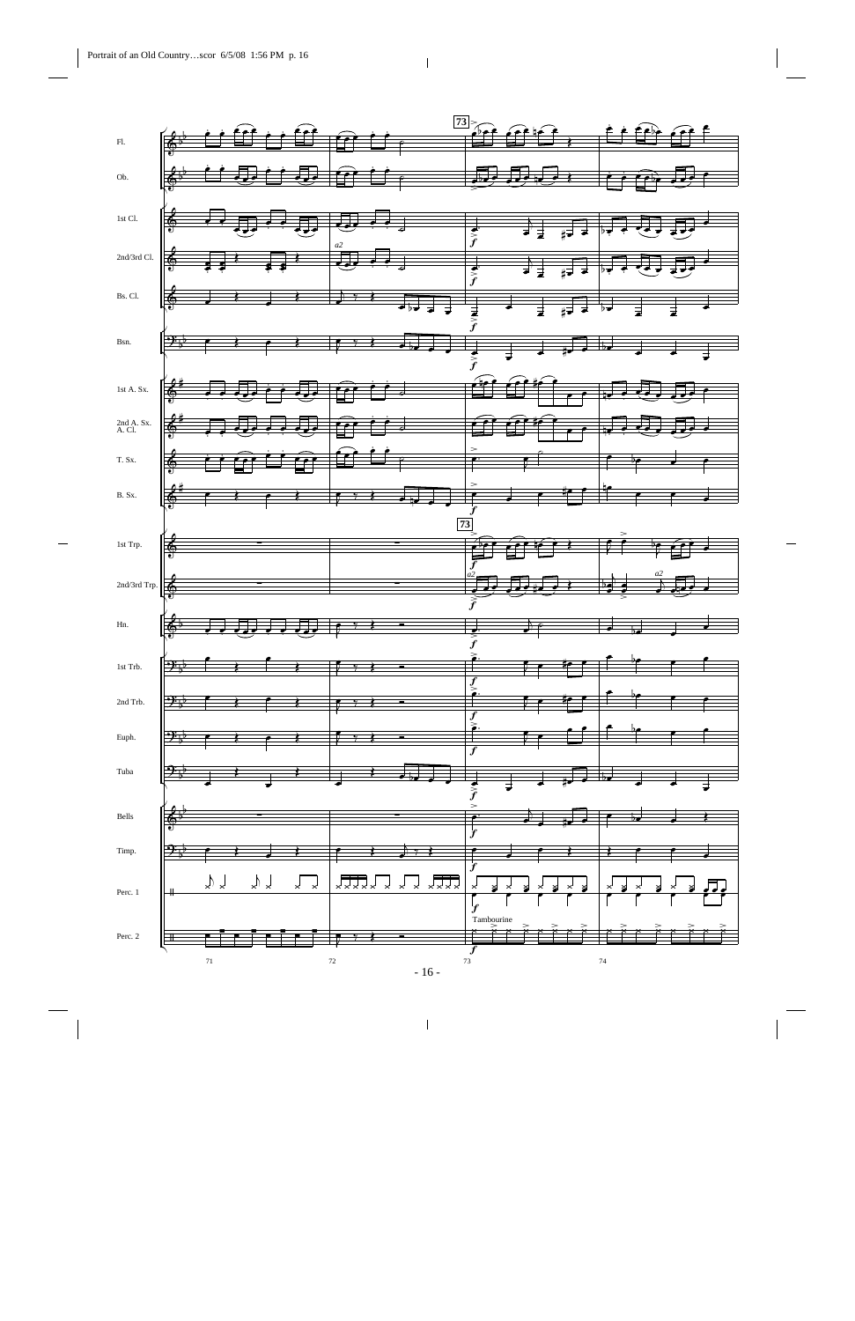![](_page_13_Figure_0.jpeg)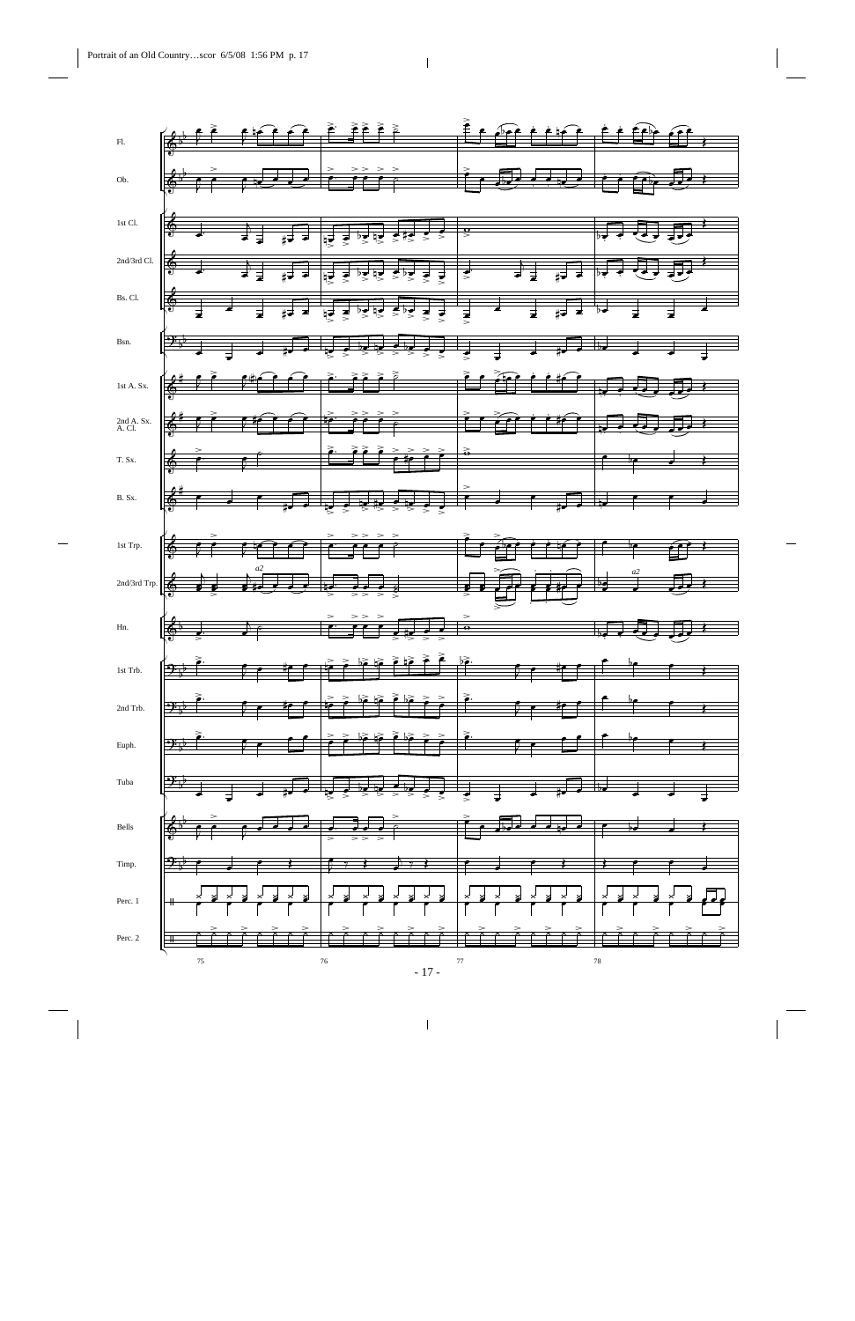![](_page_14_Figure_0.jpeg)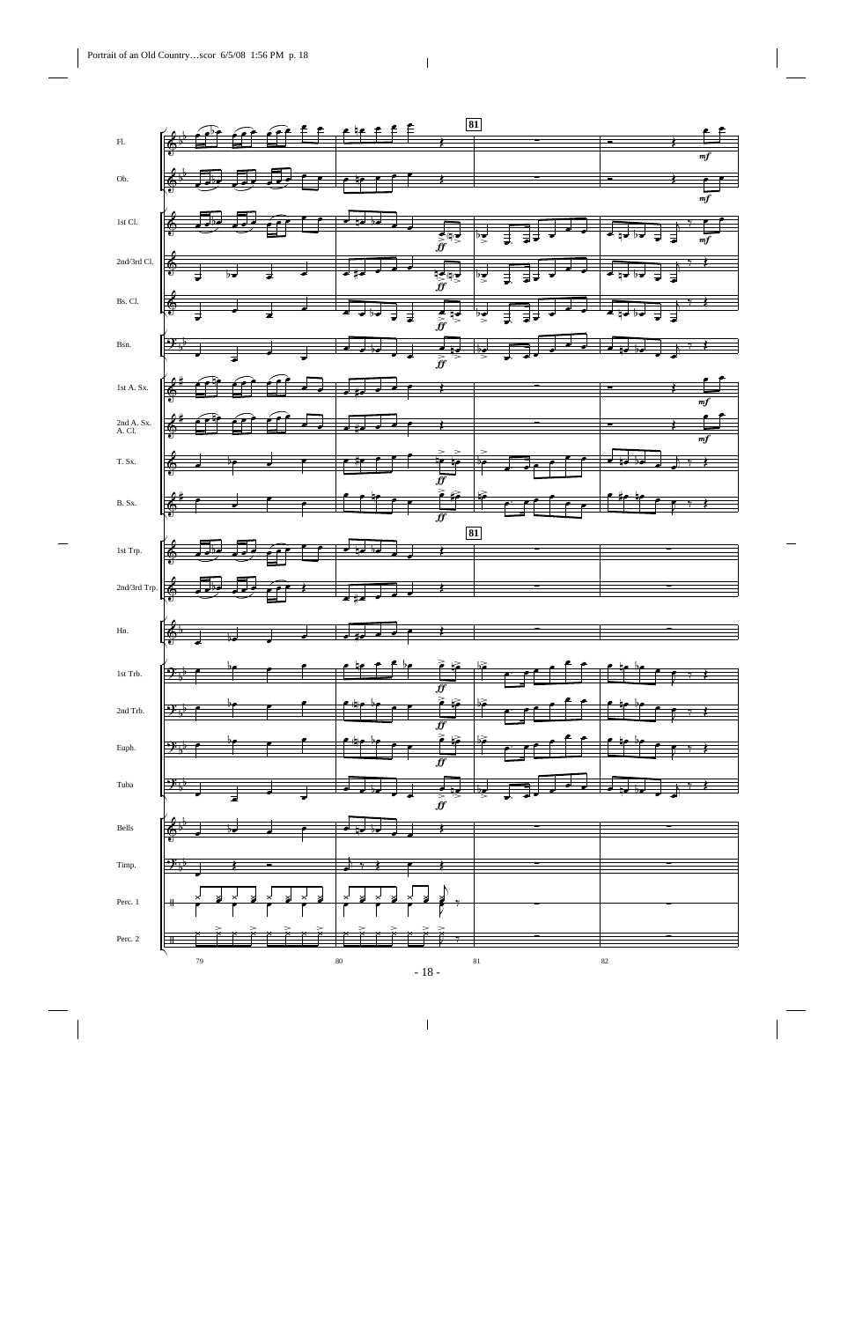![](_page_15_Figure_0.jpeg)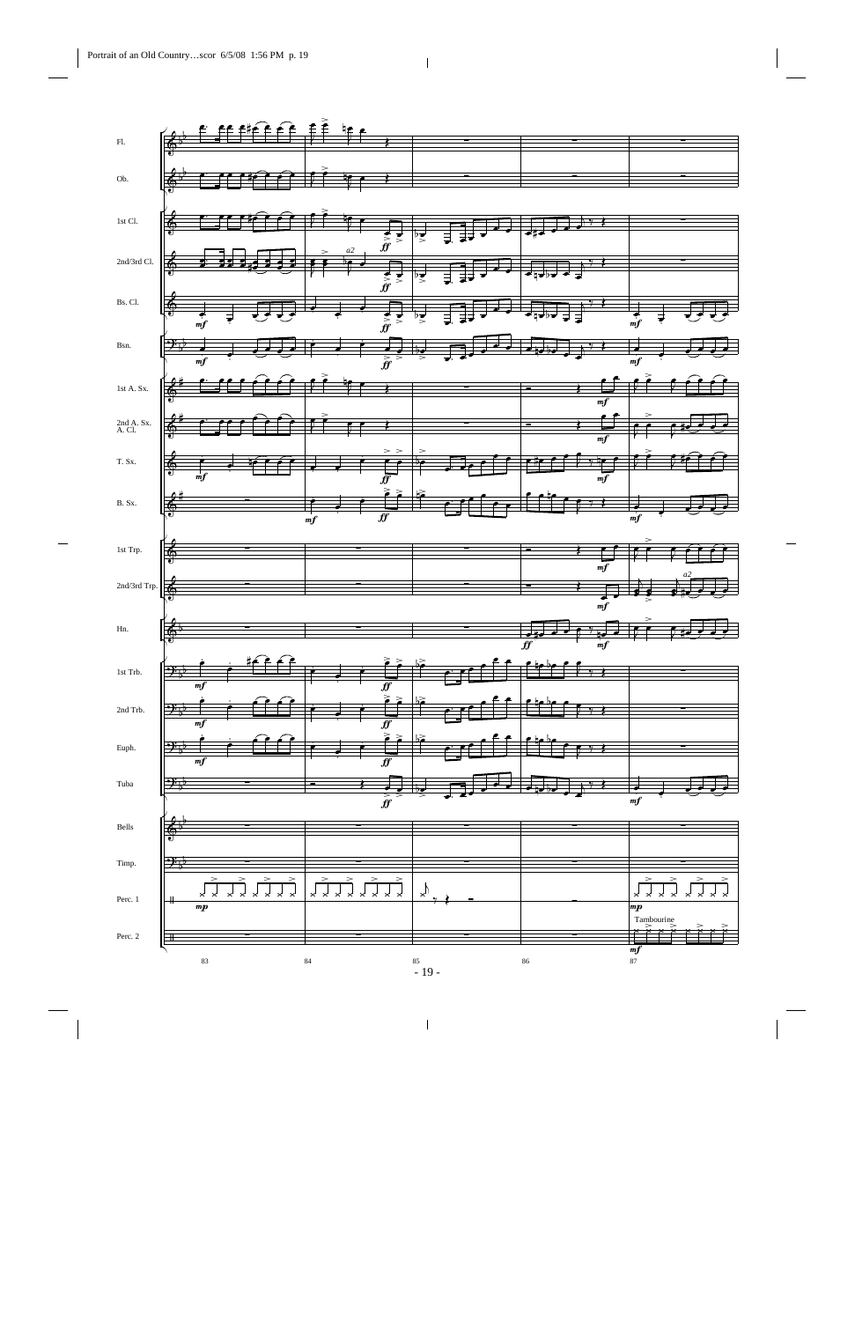![](_page_16_Figure_0.jpeg)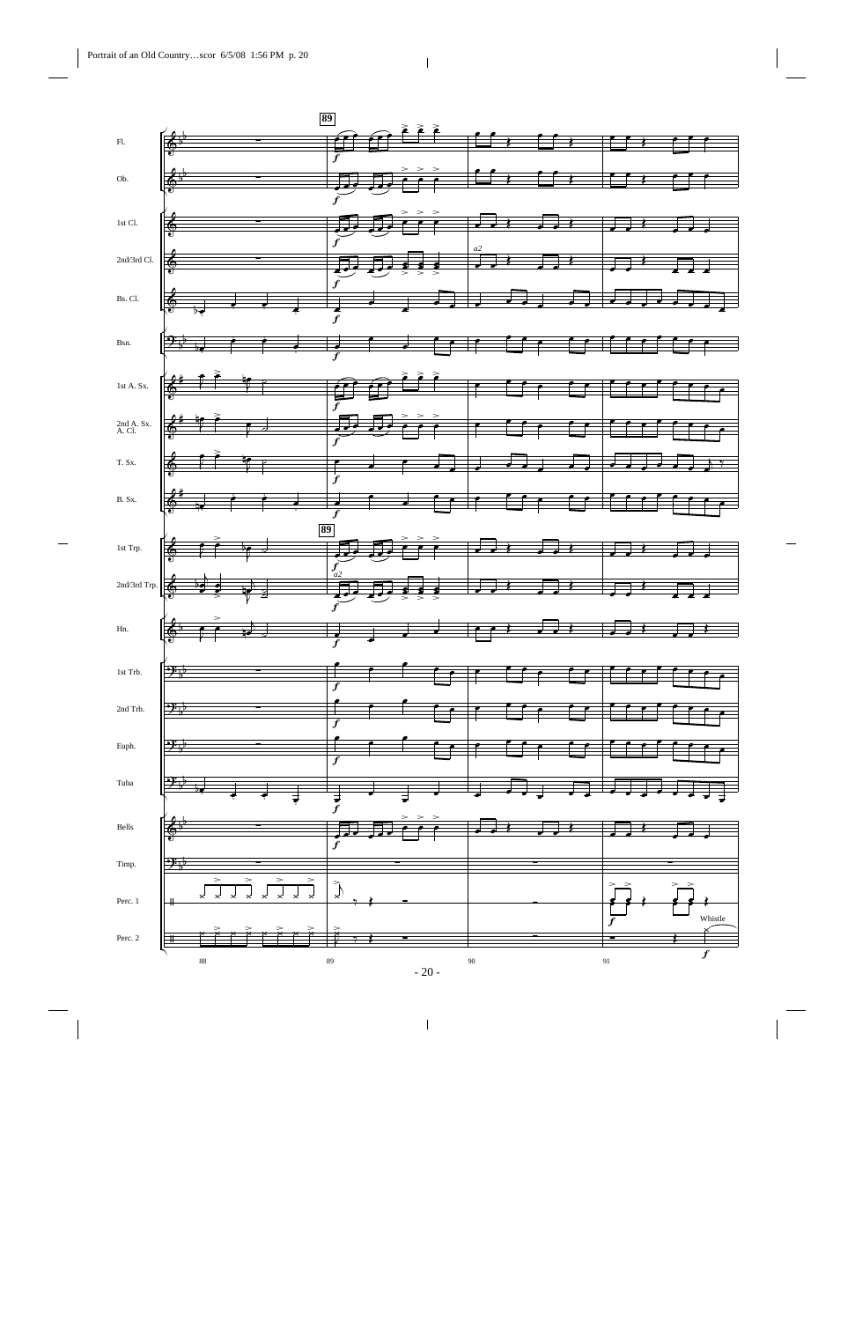![](_page_17_Figure_0.jpeg)

- 20 -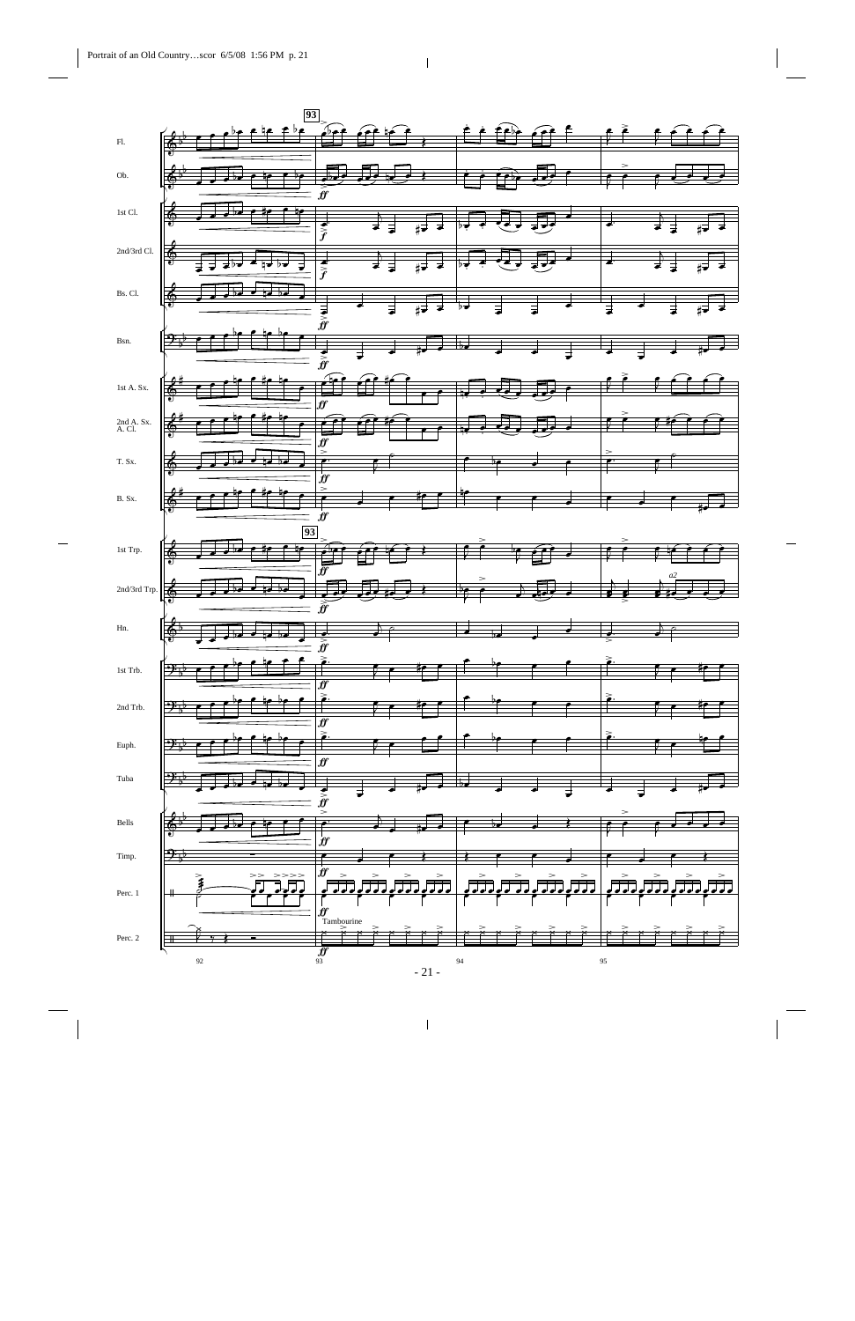![](_page_18_Figure_0.jpeg)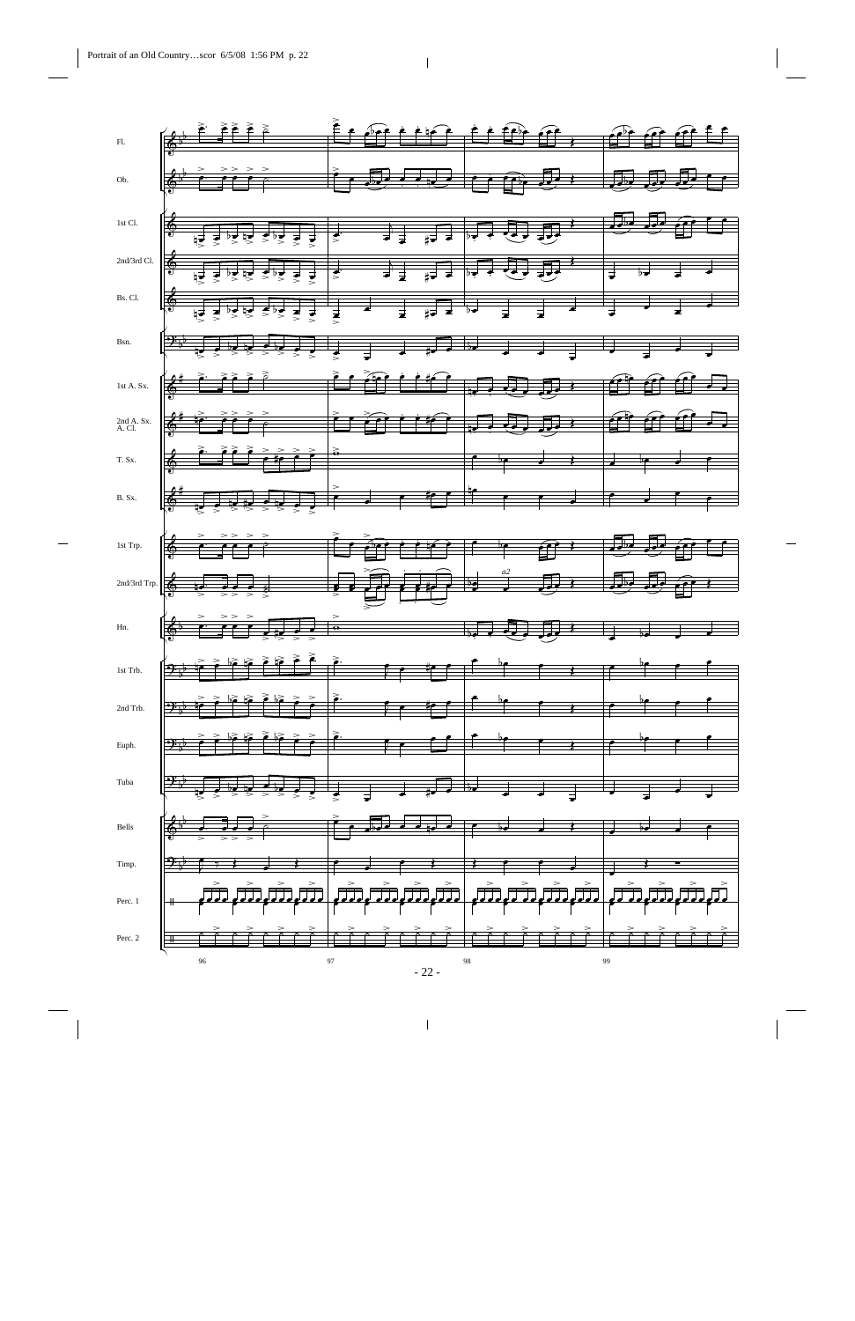![](_page_19_Figure_0.jpeg)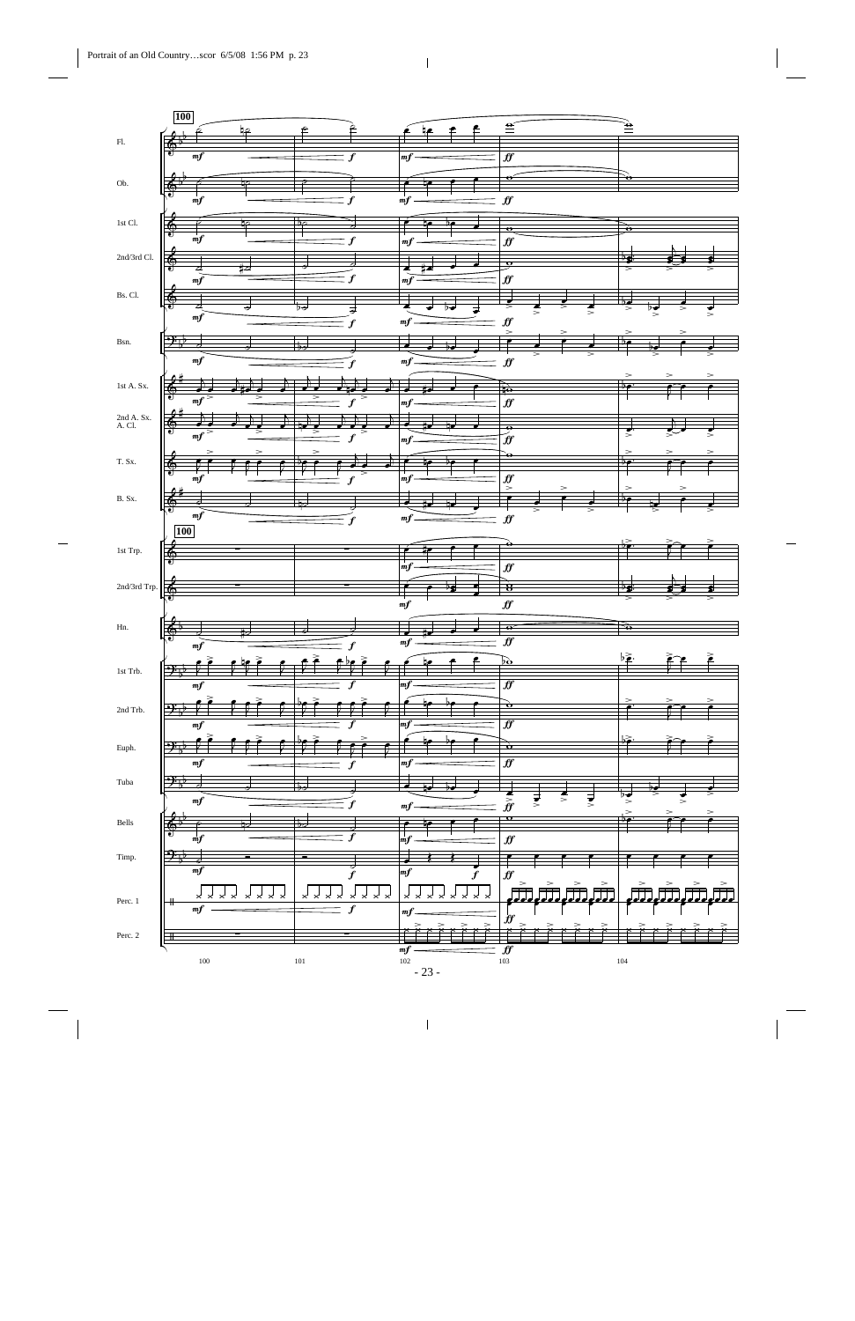![](_page_20_Figure_0.jpeg)